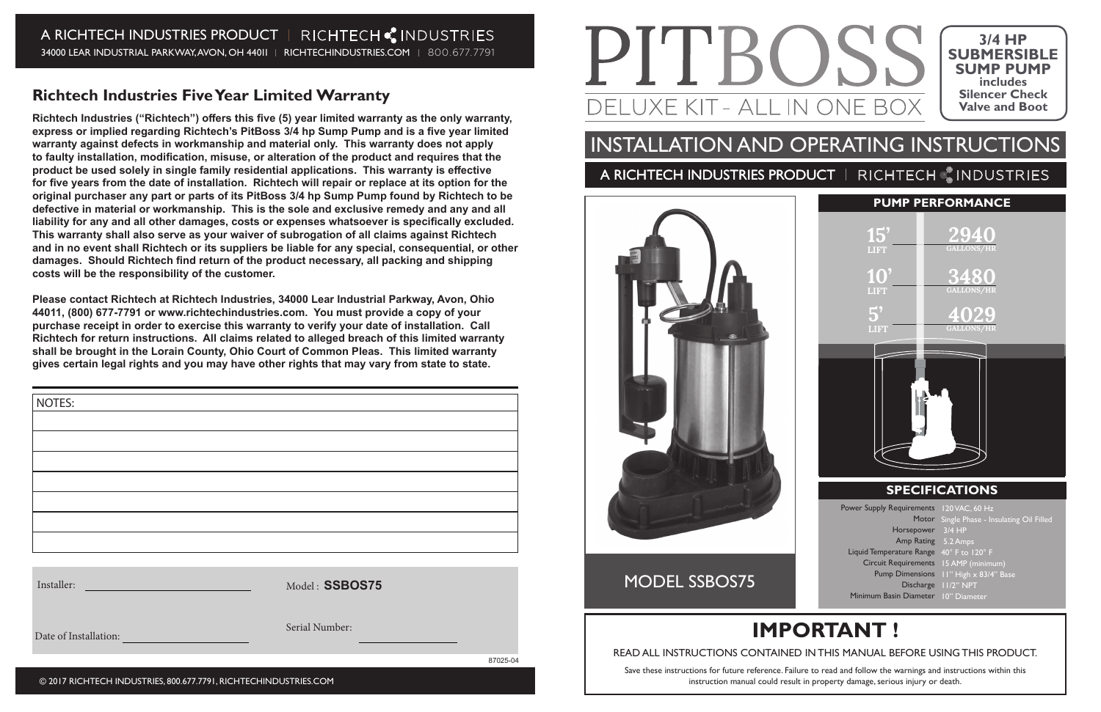### A RICHTECH INDUSTRIES PRODUCT | RICHTECH CINDUSTRIES 34000 LEAR INDUSTRIAL PARKWAY, AVON, OH 44011 | RICHTECHINDUSTRIES.COM | 800.677.7791

### **Richtech Industries Five Year Limited Warranty**

Richtech Industries ("Richtech") offers this five (5) year limited warranty as the only warranty, express or implied regarding Richtech's PitBoss 3/4 hp Sump Pump and is a five year limited **warranty against defects in workmanship and material only. This warranty does not apply**  to faulty installation, modification, misuse, or alteration of the product and requires that the product be used solely in single family residential applications. This warranty is effective for five years from the date of installation. Richtech will repair or replace at its option for the **original purchaser any part or parts of its PitBoss 3/4 hp Sump Pump found by Richtech to be defective in material or workmanship. This is the sole and exclusive remedy and any and all**  liability for any and all other damages, costs or expenses whatsoever is specifically excluded. **This warranty shall also serve as your waiver of subrogation of all claims against Richtech and in no event shall Richtech or its suppliers be liable for any special, consequential, or other**  damages. Should Richtech find return of the product necessary, all packing and shipping **costs will be the responsibility of the customer.** 

## INSTALLATION AND OPERATING INSTRUCTIONS A RICHTECH INDUSTRIES PRODUCT | RICHTECH CINDUSTRIES



**Please contact Richtech at Richtech Industries, 34000 Lear Industrial Parkway, Avon, Ohio 44011, (800) 677-7791 or www.richtechindustries.com. You must provide a copy of your purchase receipt in order to exercise this warranty to verify your date of installation. Call Richtech for return instructions. All claims related to alleged breach of this limited warranty shall be brought in the Lorain County, Ohio Court of Common Pleas. This limited warranty gives certain legal rights and you may have other rights that may vary from state to state.**

| Installer: |
|------------|
|------------|

Date of Installation:

Model : **SSBOS75**

Serial Number:

PITBOSS DELUXE KIT - ALL IN ONE BOX

87025-04

| NOTES: |  |  |
|--------|--|--|
|        |  |  |
|        |  |  |
|        |  |  |
|        |  |  |
|        |  |  |
|        |  |  |
|        |  |  |
|        |  |  |

© 2017 RICHTECH INDUSTRIES, 800.677.7791, RICHTECHINDUSTRIES.COM



# **IMPORTANT !**

#### READ ALL INSTRUCTIONS CONTAINED IN THIS MANUAL BEFORE USING THIS PRODUCT.

Save these instructions for future reference. Failure to read and follow the warnings and instructions within this instruction manual could result in property damage, serious injury or death.

### MODEL SSBOS75

Horsepower 3/4 HP Amp Rating 5.2 Amps Liquid Temperature Range 40° F to 120° F Circuit Requirements Pump Dimensions Discharge 11/2" NPT Minimum Basin Diameter 10" Diameter Single Phase - Insulating Oil Filled 15 AMP (minimum) 11" High x 83/4" Base

|                                          | <b>PUMP PERFORMANCE</b>                    |  |  |
|------------------------------------------|--------------------------------------------|--|--|
| 15'<br><b>LIFT</b>                       | 2940                                       |  |  |
| $10^{\prime}$<br><b>LIFT</b>             | <b>3480</b><br>GALLONS/HR                  |  |  |
| $\overline{5}$<br>LIFT                   | 402 <u>9</u><br><b>GALLONS/HR</b>          |  |  |
|                                          |                                            |  |  |
| ę                                        |                                            |  |  |
| <b>SPECIFICATIONS</b>                    |                                            |  |  |
| Power Supply Requirements 120 VAC, 60 Hz | Motor Single Phase - Insulating Oil Filled |  |  |